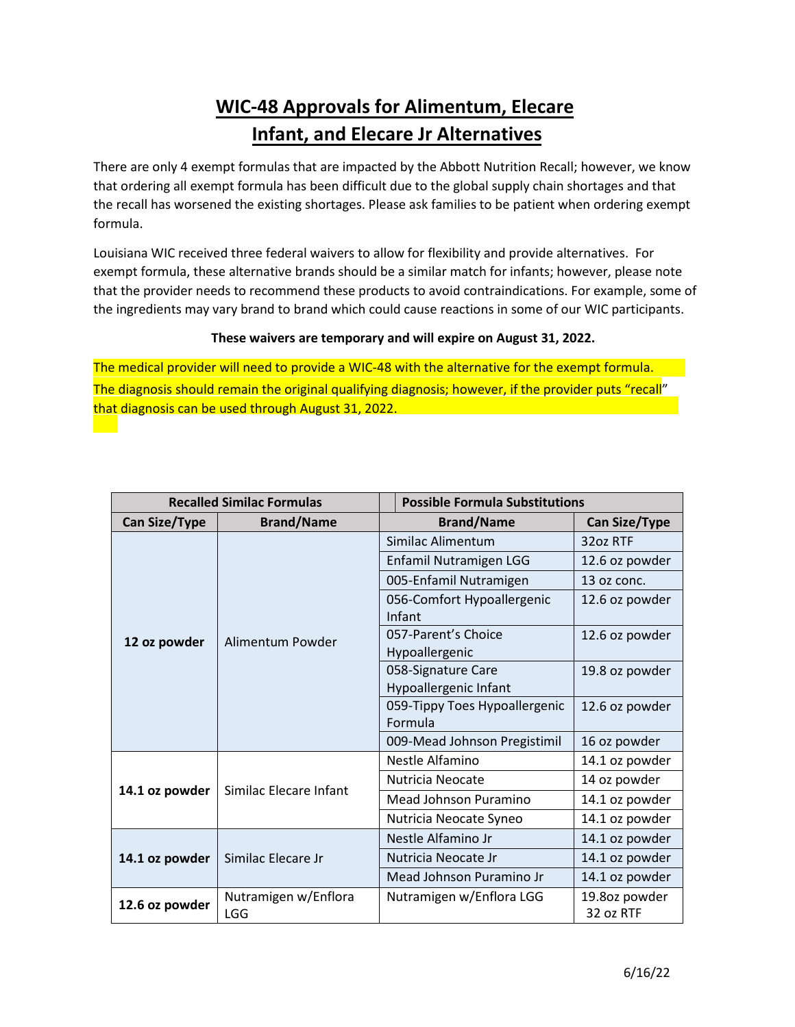## **WIC-48 Approvals for Alimentum, Elecare Infant, and Elecare Jr Alternatives**

There are only 4 exempt formulas that are impacted by the Abbott Nutrition Recall; however, we know that ordering all exempt formula has been difficult due to the global supply chain shortages and that the recall has worsened the existing shortages. Please ask families to be patient when ordering exempt formula.

Louisiana WIC received three federal waivers to allow for flexibility and provide alternatives. For exempt formula, these alternative brands should be a similar match for infants; however, please note that the provider needs to recommend these products to avoid contraindications. For example, some of the ingredients may vary brand to brand which could cause reactions in some of our WIC participants.

## **These waivers are temporary and will expire on August 31, 2022.**

The medical provider will need to provide a WIC-48 with the alternative for the exempt formula. The diagnosis should remain the original qualifying diagnosis; however, if the provider puts "recall" that diagnosis can be used through August 31, 2022.

| <b>Recalled Similac Formulas</b> |                                    | <b>Possible Formula Substitutions</b>       |                            |
|----------------------------------|------------------------------------|---------------------------------------------|----------------------------|
| <b>Can Size/Type</b>             | <b>Brand/Name</b>                  | <b>Brand/Name</b>                           | <b>Can Size/Type</b>       |
| 12 oz powder                     | Alimentum Powder                   | Similac Alimentum                           | 32oz RTF                   |
|                                  |                                    | Enfamil Nutramigen LGG                      | 12.6 oz powder             |
|                                  |                                    | 005-Enfamil Nutramigen                      | 13 oz conc.                |
|                                  |                                    | 056-Comfort Hypoallergenic<br>Infant        | 12.6 oz powder             |
|                                  |                                    | 057-Parent's Choice<br>Hypoallergenic       | 12.6 oz powder             |
|                                  |                                    | 058-Signature Care<br>Hypoallergenic Infant | 19.8 oz powder             |
|                                  |                                    | 059-Tippy Toes Hypoallergenic<br>Formula    | 12.6 oz powder             |
|                                  |                                    | 009-Mead Johnson Pregistimil                | 16 oz powder               |
| 14.1 oz powder                   | Similac Elecare Infant             | Nestle Alfamino                             | 14.1 oz powder             |
|                                  |                                    | Nutricia Neocate                            | 14 oz powder               |
|                                  |                                    | Mead Johnson Puramino                       | 14.1 oz powder             |
|                                  |                                    | Nutricia Neocate Syneo                      | 14.1 oz powder             |
| 14.1 oz powder                   | Similac Elecare Jr                 | Nestle Alfamino Jr                          | 14.1 oz powder             |
|                                  |                                    | Nutricia Neocate Jr                         | 14.1 oz powder             |
|                                  |                                    | Mead Johnson Puramino Jr                    | 14.1 oz powder             |
| 12.6 oz powder                   | Nutramigen w/Enflora<br><b>LGG</b> | Nutramigen w/Enflora LGG                    | 19.8oz powder<br>32 oz RTF |